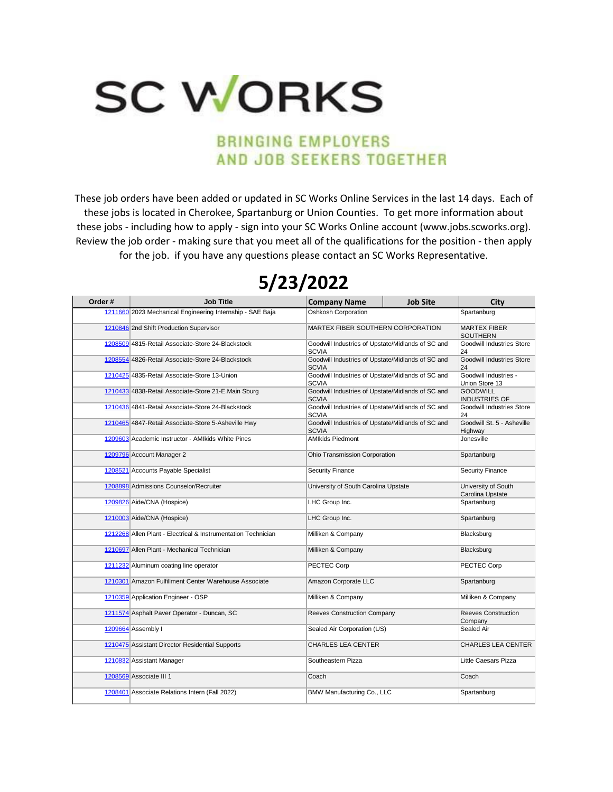## **SC WORKS**

## **BRINGING EMPLOYERS** AND JOB SEEKERS TOGETHER

These job orders have been added or updated in SC Works Online Services in the last 14 days. Each of these jobs is located in Cherokee, Spartanburg or Union Counties. To get more information about these jobs - including how to apply - sign into your SC Works Online account (www.jobs.scworks.org). Review the job order - making sure that you meet all of the qualifications for the position - then apply for the job. if you have any questions please contact an SC Works Representative.

## **5/23/2022**

| Order# | <b>Job Title</b>                                              | <b>Company Name</b>                                               | <b>Job Site</b> | City                                    |
|--------|---------------------------------------------------------------|-------------------------------------------------------------------|-----------------|-----------------------------------------|
|        | 1211660 2023 Mechanical Engineering Internship - SAE Baja     | <b>Oshkosh Corporation</b>                                        |                 | Spartanburg                             |
|        | 1210846 2nd Shift Production Supervisor                       | MARTEX FIBER SOUTHERN CORPORATION                                 |                 | MARTEX FIBER<br><b>SOUTHERN</b>         |
|        | 1208509 4815-Retail Associate-Store 24-Blackstock             | Goodwill Industries of Upstate/Midlands of SC and<br><b>SCVIA</b> |                 | Goodwill Industries Store<br>24         |
|        | 1208554 4826-Retail Associate-Store 24-Blackstock             | Goodwill Industries of Upstate/Midlands of SC and<br><b>SCVIA</b> |                 | Goodwill Industries Store<br>24         |
|        | 1210425 4835-Retail Associate-Store 13-Union                  | Goodwill Industries of Upstate/Midlands of SC and<br><b>SCVIA</b> |                 | Goodwill Industries -<br>Union Store 13 |
|        | 1210433 4838-Retail Associate-Store 21-E.Main Sburg           | Goodwill Industries of Upstate/Midlands of SC and<br><b>SCVIA</b> |                 | <b>GOODWILL</b><br><b>INDUSTRIES OF</b> |
|        | 1210436 4841-Retail Associate-Store 24-Blackstock             | Goodwill Industries of Upstate/Midlands of SC and<br><b>SCVIA</b> |                 | Goodwill Industries Store<br>24         |
|        | 1210465 4847-Retail Associate-Store 5-Asheville Hwy           | Goodwill Industries of Upstate/Midlands of SC and<br><b>SCVIA</b> |                 | Goodwill St. 5 - Asheville<br>Highway   |
|        | 1209603 Academic Instructor - AMIkids White Pines             | <b>AMIkids Piedmont</b>                                           |                 | Jonesville                              |
|        | 1209796 Account Manager 2                                     | Ohio Transmission Corporation                                     |                 | Spartanburg                             |
|        | 1208521 Accounts Payable Specialist                           | <b>Security Finance</b>                                           |                 | <b>Security Finance</b>                 |
|        | 1208898 Admissions Counselor/Recruiter                        | University of South Carolina Upstate                              |                 | University of South<br>Carolina Upstate |
|        | 1209826 Aide/CNA (Hospice)                                    | LHC Group Inc.                                                    |                 | Spartanburg                             |
|        | 1210003 Aide/CNA (Hospice)                                    | LHC Group Inc.                                                    |                 | Spartanburg                             |
|        | 1212268 Allen Plant - Electrical & Instrumentation Technician | Milliken & Company                                                |                 | Blacksburg                              |
|        | 1210697 Allen Plant - Mechanical Technician                   | Milliken & Company                                                |                 | Blacksburg                              |
|        | 1211232 Aluminum coating line operator                        | PECTEC Corp                                                       |                 | PECTEC Corp                             |
|        | 1210301 Amazon Fulfillment Center Warehouse Associate         | Amazon Corporate LLC                                              |                 | Spartanburg                             |
|        | 1210359 Application Engineer - OSP                            | Milliken & Company                                                |                 | Milliken & Company                      |
|        | 1211574 Asphalt Paver Operator - Duncan, SC                   | Reeves Construction Company                                       |                 | <b>Reeves Construction</b><br>Company   |
|        | 1209664 Assembly I                                            | Sealed Air Corporation (US)                                       |                 | Sealed Air                              |
|        | 1210475 Assistant Director Residential Supports               | <b>CHARLES LEA CENTER</b>                                         |                 | <b>CHARLES LEA CENTER</b>               |
|        | 1210832 Assistant Manager                                     | Southeastern Pizza                                                |                 | Little Caesars Pizza                    |
|        | 1208569 Associate III 1                                       | Coach                                                             |                 | Coach                                   |
|        | 1208401 Associate Relations Intern (Fall 2022)                | BMW Manufacturing Co., LLC                                        |                 | Spartanburg                             |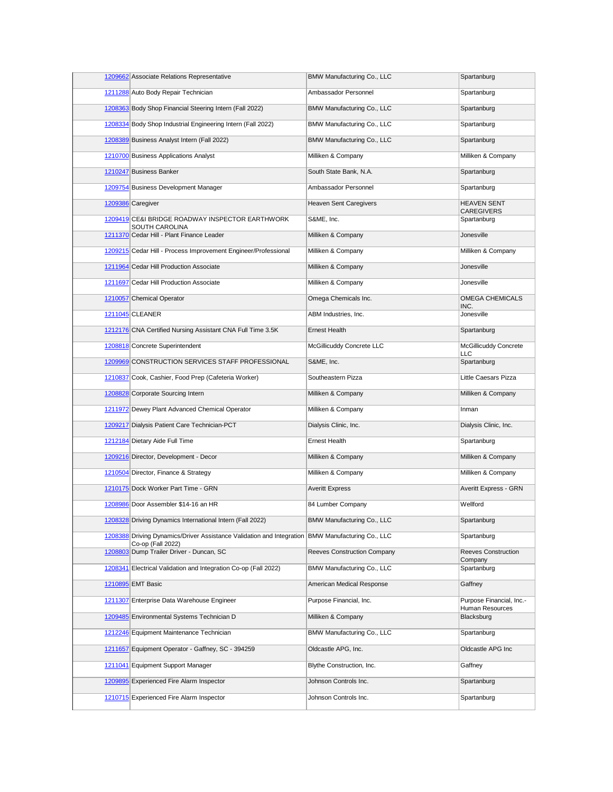| 1209662 Associate Relations Representative                                                                            | BMW Manufacturing Co., LLC    | Spartanburg                                 |
|-----------------------------------------------------------------------------------------------------------------------|-------------------------------|---------------------------------------------|
| 1211288 Auto Body Repair Technician                                                                                   | Ambassador Personnel          | Spartanburg                                 |
| 1208363 Body Shop Financial Steering Intern (Fall 2022)                                                               | BMW Manufacturing Co., LLC    | Spartanburg                                 |
| 1208334 Body Shop Industrial Engineering Intern (Fall 2022)                                                           | BMW Manufacturing Co., LLC    | Spartanburg                                 |
| 1208389 Business Analyst Intern (Fall 2022)                                                                           | BMW Manufacturing Co., LLC    | Spartanburg                                 |
| 1210700 Business Applications Analyst                                                                                 | Milliken & Company            | Milliken & Company                          |
| 1210247 Business Banker                                                                                               | South State Bank, N.A.        | Spartanburg                                 |
| 1209754 Business Development Manager                                                                                  | Ambassador Personnel          | Spartanburg                                 |
| 1209386 Caregiver                                                                                                     | <b>Heaven Sent Caregivers</b> | <b>HEAVEN SENT</b><br>CAREGIVERS            |
| 1209419 CE&I BRIDGE ROADWAY INSPECTOR EARTHWORK<br>SOUTH CAROLINA                                                     | S&ME, Inc.                    | Spartanburg                                 |
| 1211370 Cedar Hill - Plant Finance Leader                                                                             | Milliken & Company            | Jonesville                                  |
| 1209215 Cedar Hill - Process Improvement Engineer/Professional                                                        | Milliken & Company            | Milliken & Company                          |
| 1211964 Cedar Hill Production Associate                                                                               | Milliken & Company            | Jonesville                                  |
| 1211697 Cedar Hill Production Associate                                                                               | Milliken & Company            | Jonesville                                  |
| 1210057 Chemical Operator                                                                                             | Omega Chemicals Inc.          | <b>OMEGA CHEMICALS</b><br>INC.              |
| 1211045 CLEANER                                                                                                       | ABM Industries, Inc.          | Jonesville                                  |
| 1212176 CNA Certified Nursing Assistant CNA Full Time 3.5K                                                            | <b>Ernest Health</b>          | Spartanburg                                 |
| 1208818 Concrete Superintendent                                                                                       | McGillicuddy Concrete LLC     | <b>McGillicuddy Concrete</b><br>LLC         |
| 1209969 CONSTRUCTION SERVICES STAFF PROFESSIONAL                                                                      | S&ME, Inc.                    | Spartanburg                                 |
| 1210837 Cook, Cashier, Food Prep (Cafeteria Worker)                                                                   | Southeastern Pizza            | Little Caesars Pizza                        |
| 1208828 Corporate Sourcing Intern                                                                                     | Milliken & Company            | Milliken & Company                          |
| 1211972 Dewey Plant Advanced Chemical Operator                                                                        | Milliken & Company            | Inman                                       |
| 1209217 Dialysis Patient Care Technician-PCT                                                                          | Dialysis Clinic, Inc.         | Dialysis Clinic, Inc.                       |
| 1212184 Dietary Aide Full Time                                                                                        | <b>Ernest Health</b>          | Spartanburg                                 |
| 1209216 Director, Development - Decor                                                                                 | Milliken & Company            | Milliken & Company                          |
| 1210504 Director, Finance & Strategy                                                                                  | Milliken & Company            | Milliken & Company                          |
| 1210175 Dock Worker Part Time - GRN                                                                                   | <b>Averitt Express</b>        | Averitt Express - GRN                       |
| 1208986 Door Assembler \$14-16 an HR                                                                                  | 84 Lumber Company             | Wellford                                    |
| 1208328 Driving Dynamics International Intern (Fall 2022)                                                             | BMW Manufacturing Co., LLC    | Spartanburg                                 |
| 1208388 Driving Dynamics/Driver Assistance Validation and Integration BMW Manufacturing Co., LLC<br>Co-op (Fall 2022) |                               | Spartanburg                                 |
| 1208803 Dump Trailer Driver - Duncan, SC                                                                              | Reeves Construction Company   | <b>Reeves Construction</b><br>Company       |
| 1208341 Electrical Validation and Integration Co-op (Fall 2022)                                                       | BMW Manufacturing Co., LLC    | Spartanburg                                 |
| 1210895 EMT Basic                                                                                                     | American Medical Response     | Gaffney                                     |
| 1211307 Enterprise Data Warehouse Engineer                                                                            | Purpose Financial, Inc.       | Purpose Financial, Inc.-<br>Human Resources |
| 1209485 Environmental Systems Technician D                                                                            | Milliken & Company            | Blacksburg                                  |
| 1212246 Equipment Maintenance Technician                                                                              | BMW Manufacturing Co., LLC    | Spartanburg                                 |
| 1211657 Equipment Operator - Gaffney, SC - 394259                                                                     | Oldcastle APG, Inc.           | Oldcastle APG Inc                           |
| 1211041 Equipment Support Manager                                                                                     | Blythe Construction, Inc.     | Gaffney                                     |
| 1209895 Experienced Fire Alarm Inspector                                                                              | Johnson Controls Inc.         | Spartanburg                                 |
| 1210715 Experienced Fire Alarm Inspector                                                                              | Johnson Controls Inc.         | Spartanburg                                 |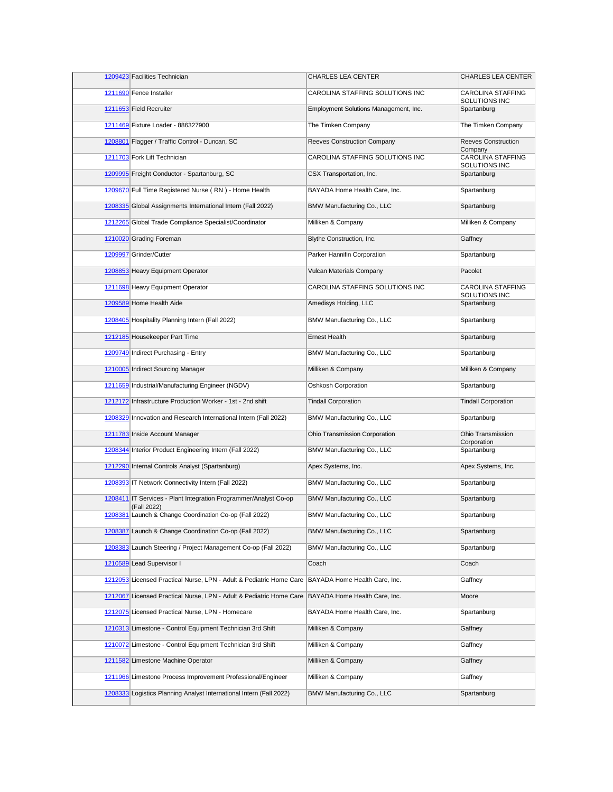| 1209423 Facilities Technician                                                   | CHARLES LEA CENTER                    | <b>CHARLES LEA CENTER</b>                 |
|---------------------------------------------------------------------------------|---------------------------------------|-------------------------------------------|
| 1211690 Fence Installer                                                         | CAROLINA STAFFING SOLUTIONS INC       | CAROLINA STAFFING<br>SOLUTIONS INC        |
| 1211653 Field Recruiter                                                         | Employment Solutions Management, Inc. | Spartanburg                               |
| 1211469 Fixture Loader - 886327900                                              | The Timken Company                    | The Timken Company                        |
| 1208801 Flagger / Traffic Control - Duncan, SC                                  | Reeves Construction Company           | Reeves Construction<br>Company            |
| 1211703 Fork Lift Technician                                                    | CAROLINA STAFFING SOLUTIONS INC       | <b>CAROLINA STAFFING</b><br>SOLUTIONS INC |
| 1209995 Freight Conductor - Spartanburg, SC                                     | CSX Transportation, Inc.              | Spartanburg                               |
| 1209670 Full Time Registered Nurse (RN) - Home Health                           | BAYADA Home Health Care, Inc.         | Spartanburg                               |
| 1208335 Global Assignments International Intern (Fall 2022)                     | BMW Manufacturing Co., LLC            | Spartanburg                               |
| 1212265 Global Trade Compliance Specialist/Coordinator                          | Milliken & Company                    | Milliken & Company                        |
| 1210020 Grading Foreman                                                         | Blythe Construction, Inc.             | Gaffney                                   |
| 1209997 Grinder/Cutter                                                          | Parker Hannifin Corporation           | Spartanburg                               |
| 1208853 Heavy Equipment Operator                                                | <b>Vulcan Materials Company</b>       | Pacolet                                   |
| 1211698 Heavy Equipment Operator                                                | CAROLINA STAFFING SOLUTIONS INC       | <b>CAROLINA STAFFING</b><br>SOLUTIONS INC |
| 1209589 Home Health Aide                                                        | Amedisys Holding, LLC                 | Spartanburg                               |
| 1208405 Hospitality Planning Intern (Fall 2022)                                 | BMW Manufacturing Co., LLC            | Spartanburg                               |
| 1212185 Housekeeper Part Time                                                   | <b>Ernest Health</b>                  | Spartanburg                               |
| 1209749 Indirect Purchasing - Entry                                             | BMW Manufacturing Co., LLC            | Spartanburg                               |
| 1210005 Indirect Sourcing Manager                                               | Milliken & Company                    | Milliken & Company                        |
| 1211659 Industrial/Manufacturing Engineer (NGDV)                                | Oshkosh Corporation                   | Spartanburg                               |
| 1212172 Infrastructure Production Worker - 1st - 2nd shift                      | <b>Tindall Corporation</b>            | <b>Tindall Corporation</b>                |
| 1208329 Innovation and Research International Intern (Fall 2022)                | BMW Manufacturing Co., LLC            | Spartanburg                               |
| 1211783 Inside Account Manager                                                  | Ohio Transmission Corporation         | Ohio Transmission<br>Corporation          |
| 1208344 Interior Product Engineering Intern (Fall 2022)                         | BMW Manufacturing Co., LLC            | Spartanburg                               |
| 1212290 Internal Controls Analyst (Spartanburg)                                 | Apex Systems, Inc.                    | Apex Systems, Inc.                        |
| 1208393 IT Network Connectivity Intern (Fall 2022)                              | BMW Manufacturing Co., LLC            | Spartanburg                               |
| 1208411 IT Services - Plant Integration Programmer/Analyst Co-op<br>(Fall 2022) | BMW Manufacturing Co., LLC            | Spartanburg                               |
| 1208381 Launch & Change Coordination Co-op (Fall 2022)                          | BMW Manufacturing Co., LLC            | Spartanburg                               |
| 1208387 Launch & Change Coordination Co-op (Fall 2022)                          | BMW Manufacturing Co., LLC            | Spartanburg                               |
| 1208383 Launch Steering / Project Management Co-op (Fall 2022)                  | BMW Manufacturing Co., LLC            | Spartanburg                               |
| 1210589 Lead Supervisor I                                                       | Coach                                 | Coach                                     |
| 1212053 Licensed Practical Nurse, LPN - Adult & Pediatric Home Care             | BAYADA Home Health Care, Inc.         | Gaffney                                   |
| 1212067 Licensed Practical Nurse, LPN - Adult & Pediatric Home Care             | BAYADA Home Health Care, Inc.         | Moore                                     |
| 1212075 Licensed Practical Nurse, LPN - Homecare                                | BAYADA Home Health Care, Inc.         | Spartanburg                               |
| 1210313 Limestone - Control Equipment Technician 3rd Shift                      | Milliken & Company                    | Gaffney                                   |
| 1210072 Limestone - Control Equipment Technician 3rd Shift                      | Milliken & Company                    | Gaffney                                   |
| 1211582 Limestone Machine Operator                                              | Milliken & Company                    | Gaffney                                   |
| 1211966 Limestone Process Improvement Professional/Engineer                     | Milliken & Company                    | Gaffney                                   |
| 1208333 Logistics Planning Analyst International Intern (Fall 2022)             | BMW Manufacturing Co., LLC            | Spartanburg                               |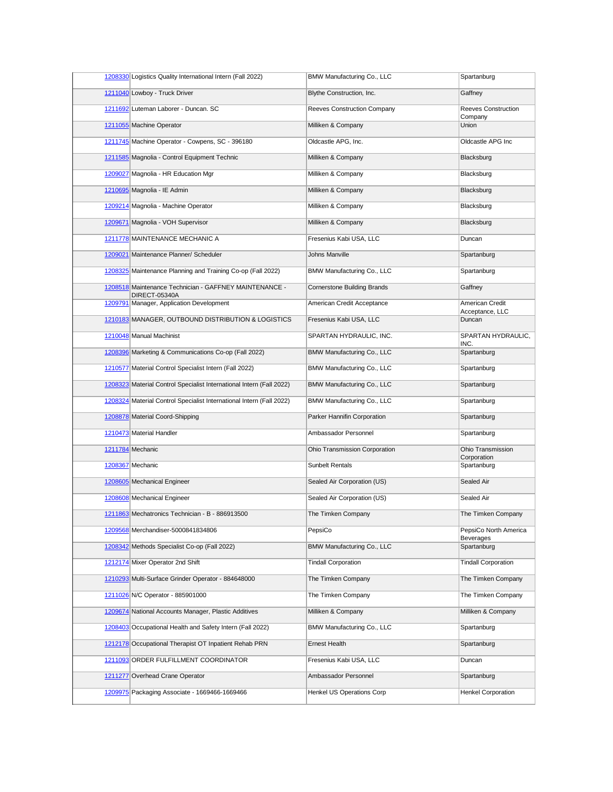| 1208330 Logistics Quality International Intern (Fall 2022)              | BMW Manufacturing Co., LLC         | Spartanburg                           |
|-------------------------------------------------------------------------|------------------------------------|---------------------------------------|
| 1211040 Lowboy - Truck Driver                                           | Blythe Construction, Inc.          | Gaffney                               |
| 1211692 Luteman Laborer - Duncan. SC                                    | Reeves Construction Company        | <b>Reeves Construction</b><br>Company |
| 1211055 Machine Operator                                                | Milliken & Company                 | Union                                 |
| 1211745 Machine Operator - Cowpens, SC - 396180                         | Oldcastle APG, Inc.                | Oldcastle APG Inc                     |
| 1211585 Magnolia - Control Equipment Technic                            | Milliken & Company                 | Blacksburg                            |
| 1209027 Magnolia - HR Education Mgr                                     | Milliken & Company                 | Blacksburg                            |
| 1210695 Magnolia - IE Admin                                             | Milliken & Company                 | Blacksburg                            |
| 1209214 Magnolia - Machine Operator                                     | Milliken & Company                 | Blacksburg                            |
| 1209671 Magnolia - VOH Supervisor                                       | Milliken & Company                 | Blacksburg                            |
| 1211778 MAINTENANCE MECHANIC A                                          | Fresenius Kabi USA, LLC            | Duncan                                |
| 1209021 Maintenance Planner/ Scheduler                                  | <b>Johns Manville</b>              | Spartanburg                           |
| 1208325 Maintenance Planning and Training Co-op (Fall 2022)             | BMW Manufacturing Co., LLC         | Spartanburg                           |
| 1208518 Maintenance Technician - GAFFNEY MAINTENANCE -<br>DIRECT-05340A | <b>Cornerstone Building Brands</b> | Gaffney                               |
| 1209791 Manager, Application Development                                | American Credit Acceptance         | American Credit<br>Acceptance, LLC    |
| 1210183 MANAGER, OUTBOUND DISTRIBUTION & LOGISTICS                      | Fresenius Kabi USA, LLC            | Duncan                                |
| 1210048 Manual Machinist                                                | SPARTAN HYDRAULIC, INC.            | SPARTAN HYDRAULIC,<br>INC.            |
| 1208396 Marketing & Communications Co-op (Fall 2022)                    | BMW Manufacturing Co., LLC         | Spartanburg                           |
| 1210577 Material Control Specialist Intern (Fall 2022)                  | BMW Manufacturing Co., LLC         | Spartanburg                           |
| 1208323 Material Control Specialist International Intern (Fall 2022)    | BMW Manufacturing Co., LLC         | Spartanburg                           |
| 1208324 Material Control Specialist International Intern (Fall 2022)    | BMW Manufacturing Co., LLC         | Spartanburg                           |
| 1208878 Material Coord-Shipping                                         | Parker Hannifin Corporation        | Spartanburg                           |
| 1210473 Material Handler                                                | Ambassador Personnel               | Spartanburg                           |
| 1211784 Mechanic                                                        | Ohio Transmission Corporation      | Ohio Transmission<br>Corporation      |
| 1208367 Mechanic                                                        | <b>Sunbelt Rentals</b>             | Spartanburg                           |
| 1208605 Mechanical Engineer                                             | Sealed Air Corporation (US)        | Sealed Air                            |
| 1208608 Mechanical Engineer                                             | Sealed Air Corporation (US)        | Sealed Air                            |
| 1211863 Mechatronics Technician - B - 886913500                         | The Timken Company                 | The Timken Company                    |
| 1209568 Merchandiser-5000841834806                                      | PepsiCo                            | PepsiCo North America<br>Beverages    |
| 1208342 Methods Specialist Co-op (Fall 2022)                            | BMW Manufacturing Co., LLC         | Spartanburg                           |
| 1212174 Mixer Operator 2nd Shift                                        | <b>Tindall Corporation</b>         | <b>Tindall Corporation</b>            |
| 1210293 Multi-Surface Grinder Operator - 884648000                      | The Timken Company                 | The Timken Company                    |
| 1211026 N/C Operator - 885901000                                        | The Timken Company                 | The Timken Company                    |
| 1209674 National Accounts Manager, Plastic Additives                    | Milliken & Company                 | Milliken & Company                    |
| 1208403 Occupational Health and Safety Intern (Fall 2022)               | BMW Manufacturing Co., LLC         | Spartanburg                           |
| 1212178 Occupational Therapist OT Inpatient Rehab PRN                   | Ernest Health                      | Spartanburg                           |
| 1211093 ORDER FULFILLMENT COORDINATOR                                   | Fresenius Kabi USA, LLC            | Duncan                                |
| 1211277 Overhead Crane Operator                                         | Ambassador Personnel               | Spartanburg                           |
| 1209975 Packaging Associate - 1669466-1669466                           | Henkel US Operations Corp          | <b>Henkel Corporation</b>             |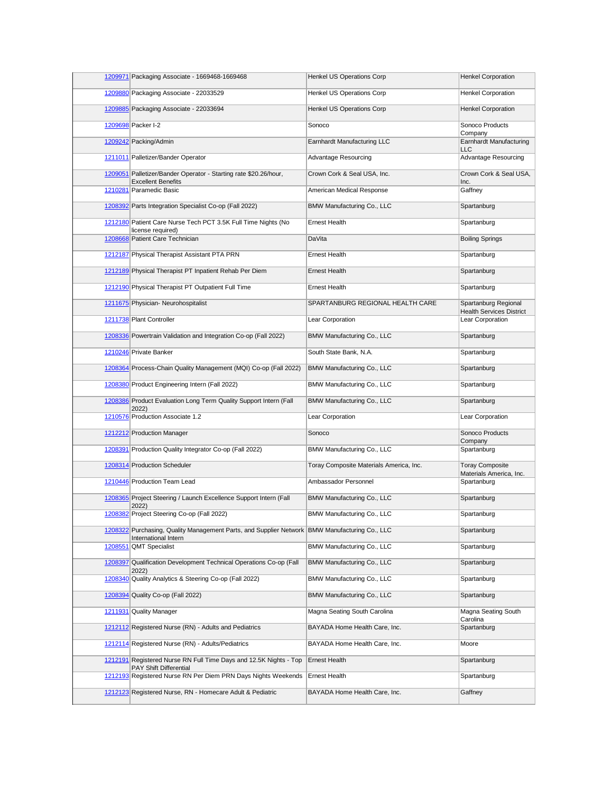| 1209971 Packaging Associate - 1669468-1669468                                                                           | Henkel US Operations Corp               | <b>Henkel Corporation</b>                               |
|-------------------------------------------------------------------------------------------------------------------------|-----------------------------------------|---------------------------------------------------------|
| 1209880 Packaging Associate - 22033529                                                                                  | <b>Henkel US Operations Corp</b>        | <b>Henkel Corporation</b>                               |
| 1209885 Packaging Associate - 22033694                                                                                  | Henkel US Operations Corp               | <b>Henkel Corporation</b>                               |
| 1209698 Packer I-2                                                                                                      | Sonoco                                  | Sonoco Products<br>Company                              |
| 1209242 Packing/Admin                                                                                                   | Earnhardt Manufacturing LLC             | <b>Earnhardt Manufacturing</b><br>LLC                   |
| 1211011 Palletizer/Bander Operator                                                                                      | Advantage Resourcing                    | Advantage Resourcing                                    |
| 1209051 Palletizer/Bander Operator - Starting rate \$20.26/hour,<br><b>Excellent Benefits</b>                           | Crown Cork & Seal USA, Inc.             | Crown Cork & Seal USA,<br>Inc.                          |
| 1210281 Paramedic Basic                                                                                                 | American Medical Response               | Gaffney                                                 |
| 1208392 Parts Integration Specialist Co-op (Fall 2022)                                                                  | BMW Manufacturing Co., LLC              | Spartanburg                                             |
| 1212180 Patient Care Nurse Tech PCT 3.5K Full Time Nights (No<br>license required)                                      | <b>Ernest Health</b>                    | Spartanburg                                             |
| 1208668 Patient Care Technician                                                                                         | DaVita                                  | <b>Boiling Springs</b>                                  |
| 1212187 Physical Therapist Assistant PTA PRN                                                                            | <b>Ernest Health</b>                    | Spartanburg                                             |
| 1212189 Physical Therapist PT Inpatient Rehab Per Diem                                                                  | <b>Ernest Health</b>                    | Spartanburg                                             |
| 1212190 Physical Therapist PT Outpatient Full Time                                                                      | <b>Ernest Health</b>                    | Spartanburg                                             |
| 1211675 Physician- Neurohospitalist                                                                                     | SPARTANBURG REGIONAL HEALTH CARE        | Spartanburg Regional<br><b>Health Services District</b> |
| 1211738 Plant Controller                                                                                                | Lear Corporation                        | Lear Corporation                                        |
| 1208336 Powertrain Validation and Integration Co-op (Fall 2022)                                                         | BMW Manufacturing Co., LLC              | Spartanburg                                             |
| 1210246 Private Banker                                                                                                  | South State Bank, N.A.                  | Spartanburg                                             |
| 1208364 Process-Chain Quality Management (MQI) Co-op (Fall 2022)                                                        | BMW Manufacturing Co., LLC              | Spartanburg                                             |
| 1208380 Product Engineering Intern (Fall 2022)                                                                          | BMW Manufacturing Co., LLC              | Spartanburg                                             |
| 1208386 Product Evaluation Long Term Quality Support Intern (Fall<br>2022)                                              | BMW Manufacturing Co., LLC              | Spartanburg                                             |
| 1210576 Production Associate 1.2                                                                                        | Lear Corporation                        | Lear Corporation                                        |
| 1212212 Production Manager                                                                                              | Sonoco                                  | Sonoco Products<br>Company                              |
| 1208391 Production Quality Integrator Co-op (Fall 2022)                                                                 | BMW Manufacturing Co., LLC              | Spartanburg                                             |
| 1208314 Production Scheduler                                                                                            | Toray Composite Materials America, Inc. | <b>Toray Composite</b><br>Materials America, Inc.       |
| 1210446 Production Team Lead                                                                                            | Ambassador Personnel                    | Spartanburg                                             |
| 1208365 Project Steering / Launch Excellence Support Intern (Fall<br>2022)                                              | BMW Manufacturing Co., LLC              | Spartanburg                                             |
| 1208382 Project Steering Co-op (Fall 2022)                                                                              | BMW Manufacturing Co., LLC              | Spartanburg                                             |
| 1208322 Purchasing, Quality Management Parts, and Supplier Network   BMW Manufacturing Co., LLC<br>International Intern |                                         | Spartanburg                                             |
| 1208551 QMT Specialist                                                                                                  | BMW Manufacturing Co., LLC              | Spartanburg                                             |
| 1208397 Qualification Development Technical Operations Co-op (Fall<br>2022)                                             | BMW Manufacturing Co., LLC              | Spartanburg                                             |
| 1208340 Quality Analytics & Steering Co-op (Fall 2022)                                                                  | BMW Manufacturing Co., LLC              | Spartanburg                                             |
| 1208394 Quality Co-op (Fall 2022)                                                                                       | BMW Manufacturing Co., LLC              | Spartanburg                                             |
| 1211931 Quality Manager                                                                                                 | Magna Seating South Carolina            | Magna Seating South<br>Carolina                         |
| 1212112 Registered Nurse (RN) - Adults and Pediatrics                                                                   | BAYADA Home Health Care, Inc.           | Spartanburg                                             |
| 1212114 Registered Nurse (RN) - Adults/Pediatrics                                                                       | BAYADA Home Health Care, Inc.           | Moore                                                   |
| 1212191 Registered Nurse RN Full Time Days and 12.5K Nights - Top<br>PAY Shift Differential                             | <b>Ernest Health</b>                    | Spartanburg                                             |
| 1212193 Registered Nurse RN Per Diem PRN Days Nights Weekends                                                           | <b>Ernest Health</b>                    | Spartanburg                                             |
| 1212123 Registered Nurse, RN - Homecare Adult & Pediatric                                                               | BAYADA Home Health Care, Inc.           | Gaffney                                                 |